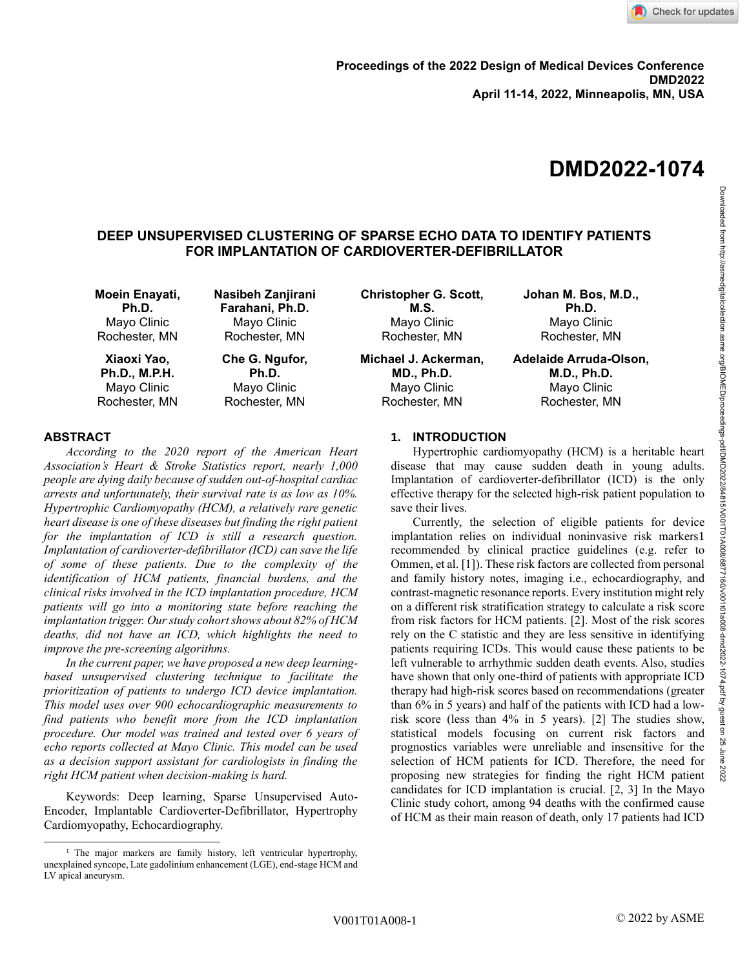# **DMD2022-1074**

# **DEEP UNSUPERVISED CLUSTERING OF SPARSE ECHO DATA TO IDENTIFY PATIENTS FOR IMPLANTATION OF CARDIOVERTER-DEFIBRILLATOR**

| Moein Enayati,       | Nasibeh Zanjirani | <b>Christopher G. Scott,</b> | Johan M. Bos, M.D.,    |
|----------------------|-------------------|------------------------------|------------------------|
| Ph.D.                | Farahani, Ph.D.   | M.S.                         | Ph.D.                  |
| Mayo Clinic          | Mayo Clinic       | Mayo Clinic                  | Mayo Clinic            |
| Rochester, MN        | Rochester, MN     | Rochester, MN                | Rochester, MN          |
| Xiaoxi Yao,          | Che G. Ngufor,    | Michael J. Ackerman,         | Adelaide Arruda-Olson, |
| <b>Ph.D., M.P.H.</b> | Ph.D.             | <b>MD., Ph.D.</b>            | <b>M.D., Ph.D.</b>     |
| Mayo Clinic          | Mayo Clinic       | Mayo Clinic                  | Mayo Clinic            |
| Rochester, MN        | Rochester, MN     | Rochester, MN                | Rochester, MN          |

# **ABSTRACT**

*According to the 2020 report of the American Heart Association's Heart & Stroke Statistics report, nearly 1,000 people are dying daily because of sudden out-of-hospital cardiac arrests and unfortunately, their survival rate is as low as 10%. Hypertrophic Cardiomyopathy (HCM), a relatively rare genetic heart disease is one of these diseases but finding the right patient for the implantation of ICD is still a research question. Implantation of cardioverter-defibrillator (ICD) can save the life of some of these patients. Due to the complexity of the identification of HCM patients, financial burdens, and the clinical risks involved in the ICD implantation procedure, HCM patients will go into a monitoring state before reaching the implantation trigger. Our study cohort shows about 82% of HCM deaths, did not have an ICD, which highlights the need to improve the pre-screening algorithms.*

*In the current paper, we have proposed a new deep learningbased unsupervised clustering technique to facilitate the prioritization of patients to undergo ICD device implantation. This model uses over 900 echocardiographic measurements to find patients who benefit more from the ICD implantation procedure. Our model was trained and tested over 6 years of echo reports collected at Mayo Clinic. This model can be used as a decision support assistant for cardiologists in finding the right HCM patient when decision-making is hard.* 

Keywords: Deep learning, Sparse Unsupervised Auto-Encoder, Implantable Cardioverter-Defibrillator, Hypertrophy Cardiomyopathy, Echocardiography.

# **1. INTRODUCTION**

Hypertrophic cardiomyopathy (HCM) is a heritable heart disease that may cause sudden death in young adults. Implantation of cardioverter-defibrillator (ICD) is the only effective therapy for the selected high-risk patient population to save their lives.

Currently, the selection of eligible patients for device implantation relies on individual noninvasive risk markers1 recommended by clinical practice guidelines (e.g. refer to Ommen, et al. [1]). These risk factors are collected from personal and family history notes, imaging i.e., echocardiography, and contrast-magnetic resonance reports. Every institution might rely on a different risk stratification strategy to calculate a risk score from risk factors for HCM patients. [2]. Most of the risk scores rely on the C statistic and they are less sensitive in identifying patients requiring ICDs. This would cause these patients to be left vulnerable to arrhythmic sudden death events. Also, studies have shown that only one-third of patients with appropriate ICD therapy had high-risk scores based on recommendations (greater than 6% in 5 years) and half of the patients with ICD had a lowrisk score (less than 4% in 5 years). [2] The studies show, statistical models focusing on current risk factors and prognostics variables were unreliable and insensitive for the selection of HCM patients for ICD. Therefore, the need for proposing new strategies for finding the right HCM patient candidates for ICD implantation is crucial. [2, 3] In the Mayo Clinic study cohort, among 94 deaths with the confirmed cause of HCM as their main reason of death, only 17 patients had ICD

<sup>&</sup>lt;sup>1</sup> The major markers are family history, left ventricular hypertrophy, unexplained syncope, Late gadolinium enhancement (LGE), end-stage HCM and LV apical aneurysm.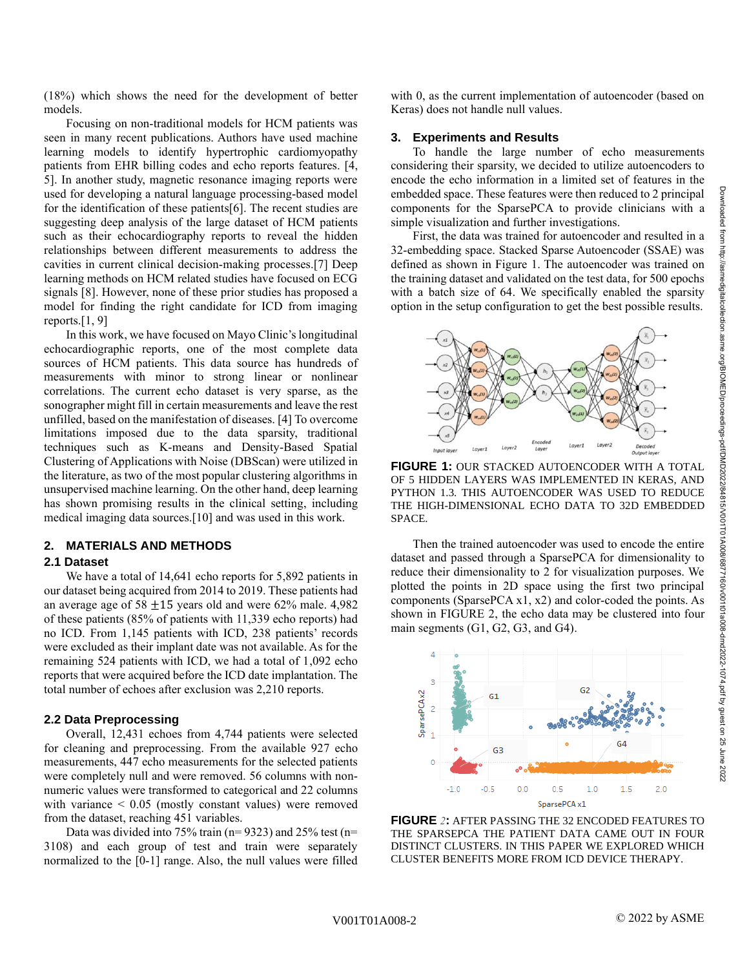(18%) which shows the need for the development of better models.

Focusing on non-traditional models for HCM patients was seen in many recent publications. Authors have used machine learning models to identify hypertrophic cardiomyopathy patients from EHR billing codes and echo reports features. [4, 5]. In another study, magnetic resonance imaging reports were used for developing a natural language processing-based model for the identification of these patients[6]. The recent studies are suggesting deep analysis of the large dataset of HCM patients such as their echocardiography reports to reveal the hidden relationships between different measurements to address the cavities in current clinical decision-making processes.[7] Deep learning methods on HCM related studies have focused on ECG signals [8]. However, none of these prior studies has proposed a model for finding the right candidate for ICD from imaging reports. $[1, 9]$ 

In this work, we have focused on Mayo Clinic's longitudinal echocardiographic reports, one of the most complete data sources of HCM patients. This data source has hundreds of measurements with minor to strong linear or nonlinear correlations. The current echo dataset is very sparse, as the sonographer might fill in certain measurements and leave the rest unfilled, based on the manifestation of diseases. [4] To overcome limitations imposed due to the data sparsity, traditional techniques such as K-means and Density-Based Spatial Clustering of Applications with Noise (DBScan) were utilized in the literature, as two of the most popular clustering algorithms in unsupervised machine learning. On the other hand, deep learning has shown promising results in the clinical setting, including medical imaging data sources.[10] and was used in this work.

# **2. MATERIALS AND METHODS**

#### **2.1 Dataset**

We have a total of 14,641 echo reports for 5,892 patients in our dataset being acquired from 2014 to 2019. These patients had an average age of 58  $\pm$ 15 years old and were 62% male. 4,982 of these patients (85% of patients with 11,339 echo reports) had no ICD. From 1,145 patients with ICD, 238 patients' records were excluded as their implant date was not available. As for the remaining 524 patients with ICD, we had a total of 1,092 echo reports that were acquired before the ICD date implantation. The total number of echoes after exclusion was 2,210 reports.

## **2.2 Data Preprocessing**

Overall, 12,431 echoes from 4,744 patients were selected for cleaning and preprocessing. From the available 927 echo measurements, 447 echo measurements for the selected patients were completely null and were removed. 56 columns with nonnumeric values were transformed to categorical and 22 columns with variance < 0.05 (mostly constant values) were removed from the dataset, reaching 451 variables.

Data was divided into 75% train ( $n= 9323$ ) and 25% test ( $n=$ 3108) and each group of test and train were separately normalized to the [0-1] range. Also, the null values were filled with 0, as the current implementation of autoencoder (based on Keras) does not handle null values.

### **3. Experiments and Results**

To handle the large number of echo measurements considering their sparsity, we decided to utilize autoencoders to encode the echo information in a limited set of features in the embedded space. These features were then reduced to 2 principal components for the SparsePCA to provide clinicians with a simple visualization and further investigations.

First, the data was trained for autoencoder and resulted in a 32-embedding space. Stacked Sparse Autoencoder (SSAE) was defined as shown in Figure 1. The autoencoder was trained on the training dataset and validated on the test data, for 500 epochs with a batch size of 64. We specifically enabled the sparsity option in the setup configuration to get the best possible results.



**FIGURE 1:** OUR STACKED AUTOENCODER WITH A TOTAL OF 5 HIDDEN LAYERS WAS IMPLEMENTED IN KERAS, AND PYTHON 1.3. THIS AUTOENCODER WAS USED TO REDUCE THE HIGH-DIMENSIONAL ECHO DATA TO 32D EMBEDDED SPACE.

Then the trained autoencoder was used to encode the entire dataset and passed through a SparsePCA for dimensionality to reduce their dimensionality to 2 for visualization purposes. We plotted the points in 2D space using the first two principal components (SparsePCA x1, x2) and color-coded the points. As shown in [FIGURE 2,](#page-1-0) the echo data may be clustered into four main segments (G1, G2, G3, and G4).



<span id="page-1-0"></span>**FIGURE** *2***:** AFTER PASSING THE 32 ENCODED FEATURES TO THE SPARSEPCA THE PATIENT DATA CAME OUT IN FOUR DISTINCT CLUSTERS. IN THIS PAPER WE EXPLORED WHICH CLUSTER BENEFITS MORE FROM ICD DEVICE THERAPY.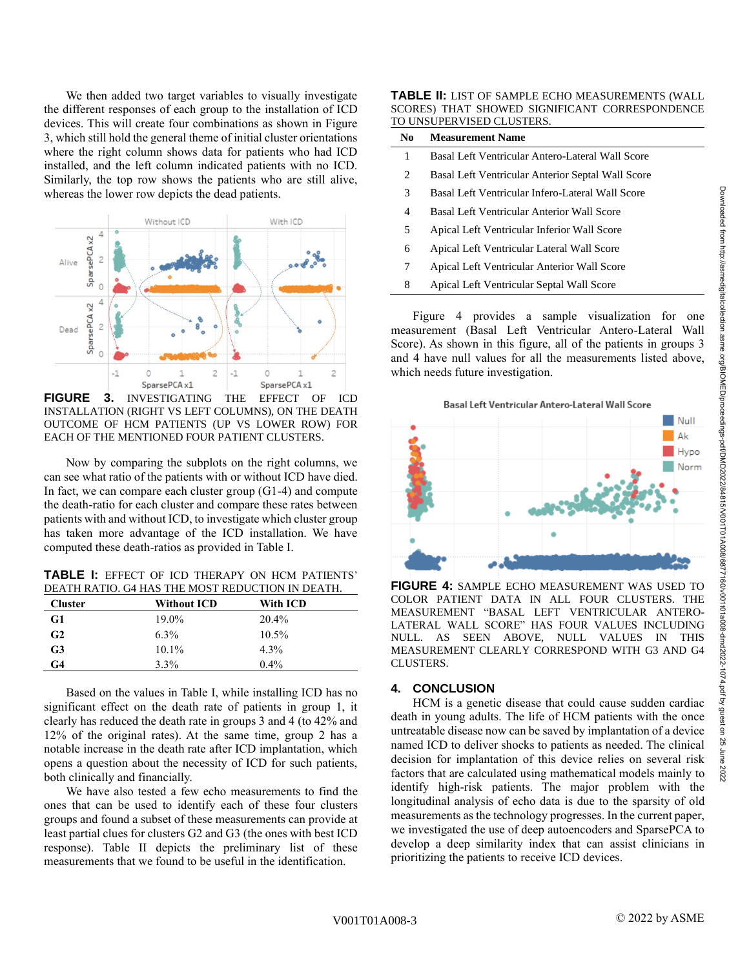We then added two target variables to visually investigate the different responses of each group to the installation of ICD devices. This will create four combinations as shown in Figure 3, which still hold the general theme of initial cluster orientations where the right column shows data for patients who had ICD installed, and the left column indicated patients with no ICD. Similarly, the top row shows the patients who are still alive, whereas the lower row depicts the dead patients.



**FIGURE 3.** INVESTIGATING THE EFFECT OF ICD INSTALLATION (RIGHT VS LEFT COLUMNS), ON THE DEATH OUTCOME OF HCM PATIENTS (UP VS LOWER ROW) FOR EACH OF THE MENTIONED FOUR PATIENT CLUSTERS.

Now by comparing the subplots on the right columns, we can see what ratio of the patients with or without ICD have died. In fact, we can compare each cluster group (G1-4) and compute the death-ratio for each cluster and compare these rates between patients with and without ICD, to investigate which cluster group has taken more advantage of the ICD installation. We have computed these death-ratios as provided in Table I.

**TABLE I:** EFFECT OF ICD THERAPY ON HCM PATIENTS' DEATH RATIO. G4 HAS THE MOST REDUCTION IN DEATH.

| <b>Cluster</b> | <b>Without ICD</b> | With ICD |
|----------------|--------------------|----------|
| G1             | 19.0%              | 20.4%    |
| G <sub>2</sub> | $6.3\%$            | $10.5\%$ |
| G3             | $10.1\%$           | $4.3\%$  |
| G4             | 3.3%               | $0.4\%$  |

Based on the values in Table I, while installing ICD has no significant effect on the death rate of patients in group 1, it clearly has reduced the death rate in groups 3 and 4 (to 42% and 12% of the original rates). At the same time, group 2 has a notable increase in the death rate after ICD implantation, which opens a question about the necessity of ICD for such patients, both clinically and financially.

We have also tested a few echo measurements to find the ones that can be used to identify each of these four clusters groups and found a subset of these measurements can provide at least partial clues for clusters G2 and G3 (the ones with best ICD response). Table II depicts the preliminary list of these measurements that we found to be useful in the identification.

**TABLE II:** LIST OF SAMPLE ECHO MEASUREMENTS (WALL SCORES) THAT SHOWED SIGNIFICANT CORRESPONDENCE TO UNSUPERVISED CLUSTERS.

| N <sub>0</sub> | <b>Measurement Name</b>                           |
|----------------|---------------------------------------------------|
| 1              | Basal Left Ventricular Antero-Lateral Wall Score  |
| 2              | Basal Left Ventricular Anterior Septal Wall Score |
| 3              | Basal Left Ventricular Infero-Lateral Wall Score  |
| 4              | Basal Left Ventricular Anterior Wall Score        |
| 5              | Apical Left Ventricular Inferior Wall Score       |
| 6              | Apical Left Ventricular Lateral Wall Score        |
| 7              | Apical Left Ventricular Anterior Wall Score       |
| 8              | Apical Left Ventricular Septal Wall Score         |
|                |                                                   |

Figure 4 provides a sample visualization for one measurement (Basal Left Ventricular Antero-Lateral Wall Score). As shown in this figure, all of the patients in groups 3 and 4 have null values for all the measurements listed above, which needs future investigation.



**FIGURE 4:** SAMPLE ECHO MEASUREMENT WAS USED TO COLOR PATIENT DATA IN ALL FOUR CLUSTERS. THE MEASUREMENT "BASAL LEFT VENTRICULAR ANTERO-LATERAL WALL SCORE" HAS FOUR VALUES INCLUDING NULL. AS SEEN ABOVE, NULL VALUES IN THIS MEASUREMENT CLEARLY CORRESPOND WITH G3 AND G4 CLUSTERS.

# **4. CONCLUSION**

HCM is a genetic disease that could cause sudden cardiac death in young adults. The life of HCM patients with the once untreatable disease now can be saved by implantation of a device named ICD to deliver shocks to patients as needed. The clinical decision for implantation of this device relies on several risk factors that are calculated using mathematical models mainly to identify high-risk patients. The major problem with the longitudinal analysis of echo data is due to the sparsity of old measurements as the technology progresses. In the current paper, we investigated the use of deep autoencoders and SparsePCA to develop a deep similarity index that can assist clinicians in prioritizing the patients to receive ICD devices.